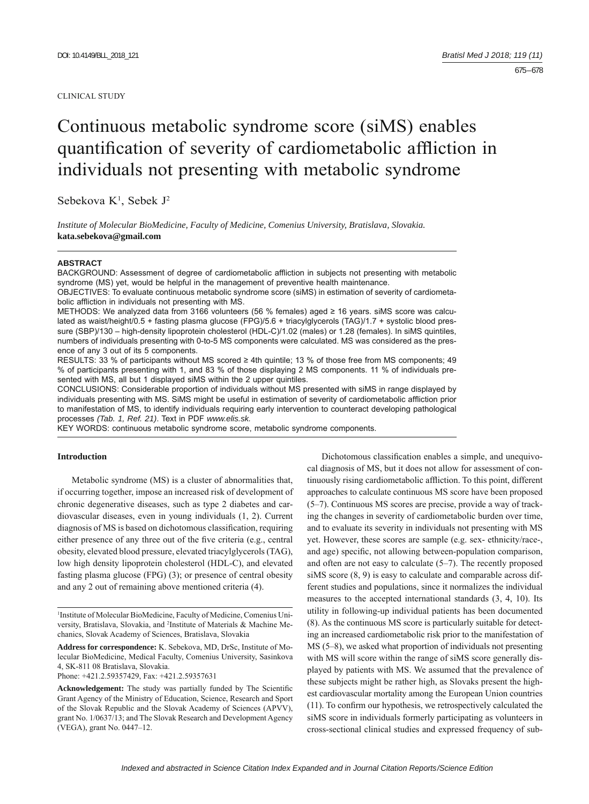#### CLINICAL STUDY

# Continuous metabolic syndrome score (siMS) enables quantification of severity of cardiometabolic affliction in individuals not presenting with metabolic syndrome

Sebekova K<sup>1</sup>, Sebek J<sup>2</sup>

*Institute of Molecular BioMedicine, Faculty of Medicine, Comenius University, Bratislava, Slovakia.*  **kata.sebekova@gmail.com**

### **ABSTRACT**

BACKGROUND: Assessment of degree of cardiometabolic affliction in subjects not presenting with metabolic syndrome (MS) yet, would be helpful in the management of preventive health maintenance.

OBJECTIVES: To evaluate continuous metabolic syndrome score (siMS) in estimation of severity of cardiometabolic affliction in individuals not presenting with MS.

METHODS: We analyzed data from 3166 volunteers (56 % females) aged ≥ 16 years. siMS score was calculated as waist/height/0.5 + fasting plasma glucose (FPG)/5.6 + triacylglycerols (TAG)/1.7 + systolic blood pressure (SBP)/130 – high-density lipoprotein cholesterol (HDL-C)/1.02 (males) or 1.28 (females). In siMS quintiles, numbers of individuals presenting with 0-to-5 MS components were calculated. MS was considered as the presence of any 3 out of its 5 components.

RESULTS: 33 % of participants without MS scored ≥ 4th quintile; 13 % of those free from MS components; 49 % of participants presenting with 1, and 83 % of those displaying 2 MS components. 11 % of individuals presented with MS, all but 1 displayed siMS within the 2 upper quintiles.

CONCLUSIONS: Considerable proportion of individuals without MS presented with siMS in range displayed by individuals presenting with MS. SiMS might be useful in estimation of severity of cardiometabolic affliction prior to manifestation of MS, to identify individuals requiring early intervention to counteract developing pathological processes *(Tab. 1, Ref. 21)*. Text in PDF *www.elis.sk.*

KEY WORDS: continuous metabolic syndrome score, metabolic syndrome components.

### **Introduction**

Metabolic syndrome (MS) is a cluster of abnormalities that, if occurring together, impose an increased risk of development of chronic degenerative diseases, such as type 2 diabetes and cardiovascular diseases, even in young individuals (1, 2). Current diagnosis of MS is based on dichotomous classification, requiring either presence of any three out of the five criteria (e.g., central obesity, elevated blood pressure, elevated triacylglycerols (TAG), low high density lipoprotein cholesterol (HDL-C), and elevated fasting plasma glucose (FPG) (3); or presence of central obesity and any 2 out of remaining above mentioned criteria (4).

**Address for correspondence:** K. Sebekova, MD, DrSc, Institute of Molecular BioMedicine, Medical Faculty, Comenius University, Sasinkova 4, SK-811 08 Bratislava, Slovakia.

Phone: +421.2.59357429, Fax: +421.2.59357631

Dichotomous classification enables a simple, and unequivocal diagnosis of MS, but it does not allow for assessment of continuously rising cardiometabolic affliction. To this point, different approaches to calculate continuous MS score have been proposed (5–7). Continuous MS scores are precise, provide a way of tracking the changes in severity of cardiometabolic burden over time, and to evaluate its severity in individuals not presenting with MS yet. However, these scores are sample (e.g. sex- ethnicity/race-, and age) specific, not allowing between-population comparison, and often are not easy to calculate (5–7). The recently proposed siMS score (8, 9) is easy to calculate and comparable across different studies and populations, since it normalizes the individual measures to the accepted international standards (3, 4, 10). Its utility in following-up individual patients has been documented (8). As the continuous MS score is particularly suitable for detecting an increased cardiometabolic risk prior to the manifestation of MS (5–8), we asked what proportion of individuals not presenting with MS will score within the range of siMS score generally displayed by patients with MS. We assumed that the prevalence of these subjects might be rather high, as Slovaks present the highest cardiovascular mortality among the European Union countries  $(11)$ . To confirm our hypothesis, we retrospectively calculated the siMS score in individuals formerly participating as volunteers in cross-sectional clinical studies and expressed frequency of sub-

<sup>1</sup> Institute of Molecular BioMedicine, Faculty of Medicine, Comenius University, Bratislava, Slovakia, and <sup>2</sup>Institute of Materials & Machine Mechanics, Slovak Academy of Sciences, Bratislava, Slovakia

**Acknowledgement:** The study was partially funded by The Scientific Grant Agency of the Ministry of Education, Science, Research and Sport of the Slovak Republic and the Slovak Academy of Sciences (APVV), grant No. 1/0637/13; and The Slovak Research and Development Agency (VEGA), grant No. 0447–12.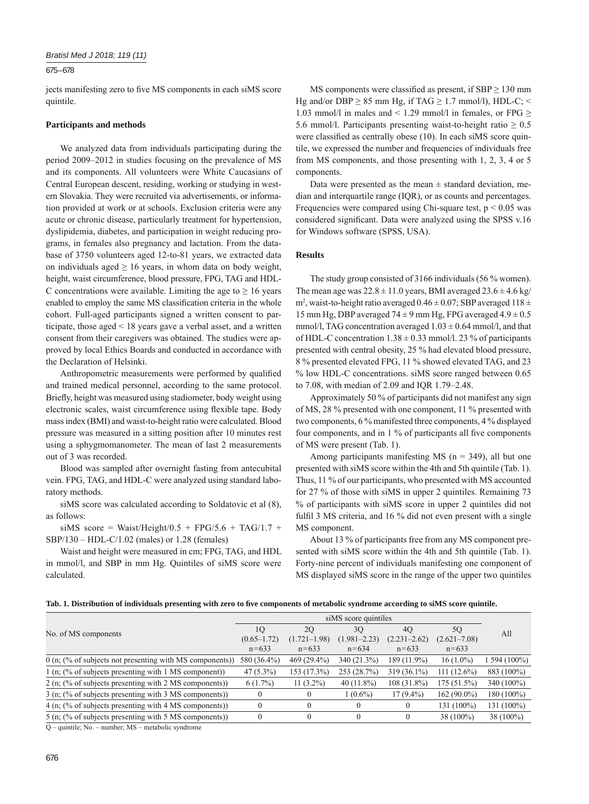#### 675 – 678

jects manifesting zero to five MS components in each siMS score quintile.

#### **Participants and methods**

We analyzed data from individuals participating during the period 2009–2012 in studies focusing on the prevalence of MS and its components. All volunteers were White Caucasians of Central European descent, residing, working or studying in western Slovakia. They were recruited via advertisements, or information provided at work or at schools. Exclusion criteria were any acute or chronic disease, particularly treatment for hypertension, dyslipidemia, diabetes, and participation in weight reducing programs, in females also pregnancy and lactation. From the database of 3750 volunteers aged 12-to-81 years, we extracted data on individuals aged  $\geq 16$  years, in whom data on body weight, height, waist circumference, blood pressure, FPG, TAG and HDL-C concentrations were available. Limiting the age to  $\geq 16$  years enabled to employ the same MS classification criteria in the whole cohort. Full-aged participants signed a written consent to participate, those aged < 18 years gave a verbal asset, and a written consent from their caregivers was obtained. The studies were approved by local Ethics Boards and conducted in accordance with the Declaration of Helsinki.

Anthropometric measurements were performed by qualified and trained medical personnel, according to the same protocol. Briefly, height was measured using stadiometer, body weight using electronic scales, waist circumference using flexible tape. Body mass index (BMI) and waist-to-height ratio were calculated. Blood pressure was measured in a sitting position after 10 minutes rest using a sphygmomanometer. The mean of last 2 measurements out of 3 was recorded.

Blood was sampled after overnight fasting from antecubital vein. FPG, TAG, and HDL-C were analyzed using standard laboratory methods.

siMS score was calculated according to Soldatovic et al (8), as follows:

siMS score = Waist/Height/0.5 + FPG/5.6 + TAG/1.7 + SBP/130 – HDL-C/1.02 (males) or 1.28 (females)

Waist and height were measured in cm; FPG, TAG, and HDL in mmol/l, and SBP in mm Hg. Quintiles of siMS score were calculated.

MS components were classified as present, if  $SBP \ge 130$  mm Hg and/or DBP  $\geq$  85 mm Hg, if TAG  $\geq$  1.7 mmol/l), HDL-C; < 1.03 mmol/l in males and < 1.29 mmol/l in females, or FPG  $\ge$ 5.6 mmol/l. Participants presenting waist-to-height ratio  $\geq 0.5$ were classified as centrally obese (10). In each siMS score quintile, we expressed the number and frequencies of individuals free from MS components, and those presenting with 1, 2, 3, 4 or 5 components.

Data were presented as the mean  $\pm$  standard deviation, median and interquartile range (IQR), or as counts and percentages. Frequencies were compared using Chi-square test,  $p < 0.05$  was considered significant. Data were analyzed using the SPSS v.16 for Windows software (SPSS, USA).

## **Results**

The study group consisted of 3166 individuals (56 % women). The mean age was  $22.8 \pm 11.0$  years, BMI averaged  $23.6 \pm 4.6$  kg/  $m^2$ , waist-to-height ratio averaged  $0.46 \pm 0.07$ ; SBP averaged  $118 \pm 1.07$ 15 mm Hg, DBP averaged  $74 \pm 9$  mm Hg, FPG averaged  $4.9 \pm 0.5$ mmol/l, TAG concentration averaged  $1.03 \pm 0.64$  mmol/l, and that of HDL-C concentration  $1.38 \pm 0.33$  mmol/l. 23 % of participants presented with central obesity, 25 % had elevated blood pressure, 8 % presented elevated FPG, 11 % showed elevated TAG, and 23 % low HDL-C concentrations. siMS score ranged between 0.65 to 7.08, with median of 2.09 and IQR 1.79–2.48.

Approximately 50 % of participants did not manifest any sign of MS, 28 % presented with one component, 11 % presented with two components, 6 % manifested three components, 4 % displayed four components, and in  $1\%$  of participants all five components of MS were present (Tab. 1).

Among participants manifesting MS ( $n = 349$ ), all but one presented with siMS score within the 4th and 5th quintile (Tab. 1). Thus, 11 % of our participants, who presented with MS accounted for 27 % of those with siMS in upper 2 quintiles. Remaining 73 % of participants with siMS score in upper 2 quintiles did not fulfil 3 MS criteria, and 16  $%$  did not even present with a single MS component.

About 13 % of participants free from any MS component presented with siMS score within the 4th and 5th quintile (Tab. 1). Forty-nine percent of individuals manifesting one component of MS displayed siMS score in the range of the upper two quintiles

|  |  |  |  | Tab. 1. Distribution of individuals presenting with zero to five components of metabolic syndrome according to siMS score quintile. |  |  |  |  |
|--|--|--|--|-------------------------------------------------------------------------------------------------------------------------------------|--|--|--|--|
|--|--|--|--|-------------------------------------------------------------------------------------------------------------------------------------|--|--|--|--|

| No. of MS components                                                       | 10              | 20               | 30               | 40               | 5Q               | All        |
|----------------------------------------------------------------------------|-----------------|------------------|------------------|------------------|------------------|------------|
|                                                                            | $(0.65 - 1.72)$ | $(1.721 - 1.98)$ | $(1.981 - 2.23)$ | $(2.231 - 2.62)$ | $(2.621 - 7.08)$ |            |
|                                                                            | $n = 633$       | $n = 633$        | $n = 634$        | $n = 633$        | $n = 633$        |            |
| $0$ (n; $\left(\% \right)$ of subjects not presenting with MS components)) | 580 (36.4%)     | 469 (29.4%)      | 340 (21.3%)      | 189 (11.9%)      | $16(1.0\%)$      | 594 (100%) |
| 1 (n; (% of subjects presenting with 1 MS component))                      | $47(5.3\%)$     | 153 (17.3%)      | 253 (28.7%)      | 319 (36.1%)      | $111(12.6\%)$    | 883 (100%) |
| 2 (n; (% of subjects presenting with 2 MS components))                     | $6(1.7\%)$      | $11(3.2\%)$      | $40(11.8\%)$     | 108 (31.8%)      | 175 (51.5%)      | 340 (100%) |
| 3 (n; (% of subjects presenting with 3 MS components))                     |                 |                  | $1(0.6\%)$       | $17(9.4\%)$      | $162(90.0\%)$    | 180 (100%) |
| 4 (n; (% of subjects presenting with 4 MS components))                     | $\theta$        |                  | $\theta$         |                  | 131 (100%)       | 131 (100%) |
| 5 (n; (% of subjects presenting with 5 MS components))                     | $\Omega$        | $\theta$         | $\theta$         | $\theta$         | $38(100\%)$      | 38 (100%)  |
|                                                                            |                 |                  |                  |                  |                  |            |

Q – quintile; No. – number; MS – metabolic syndrome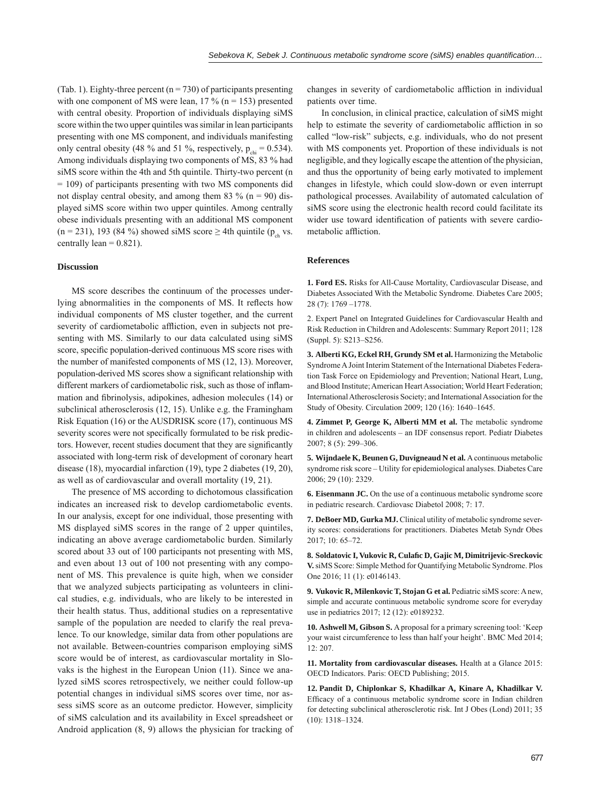(Tab. 1). Eighty-three percent ( $n = 730$ ) of participants presenting with one component of MS were lean,  $17\%$  (n = 153) presented with central obesity. Proportion of individuals displaying siMS score within the two upper quintiles was similar in lean participants presenting with one MS component, and individuals manifesting only central obesity (48 % and 51 %, respectively,  $p_{\text{obs}} = 0.534$ ). Among individuals displaying two components of MS, 83 % had siMS score within the 4th and 5th quintile. Thirty-two percent (n = 109) of participants presenting with two MS components did not display central obesity, and among them 83 % ( $n = 90$ ) displayed siMS score within two upper quintiles. Among centrally obese individuals presenting with an additional MS component  $(n = 231)$ , 193 (84 %) showed siMS score  $\geq$  4th quintile (p<sub>ch</sub> vs. centrally lean  $= 0.821$ ).

## **Discussion**

MS score describes the continuum of the processes underlying abnormalities in the components of MS. It reflects how individual components of MS cluster together, and the current severity of cardiometabolic affliction, even in subjects not presenting with MS. Similarly to our data calculated using siMS score, specific population-derived continuous MS score rises with the number of manifested components of MS (12, 13). Moreover, population-derived MS scores show a significant relationship with different markers of cardiometabolic risk, such as those of inflammation and fibrinolysis, adipokines, adhesion molecules (14) or subclinical atherosclerosis (12, 15). Unlike e.g. the Framingham Risk Equation (16) or the AUSDRISK score (17), continuous MS severity scores were not specifically formulated to be risk predictors. However, recent studies document that they are significantly associated with long-term risk of development of coronary heart disease (18), myocardial infarction (19), type 2 diabetes (19, 20), as well as of cardiovascular and overall mortality (19, 21).

The presence of MS according to dichotomous classification indicates an increased risk to develop cardiometabolic events. In our analysis, except for one individual, those presenting with MS displayed siMS scores in the range of 2 upper quintiles, indicating an above average cardiometabolic burden. Similarly scored about 33 out of 100 participants not presenting with MS, and even about 13 out of 100 not presenting with any component of MS. This prevalence is quite high, when we consider that we analyzed subjects participating as volunteers in clinical studies, e.g. individuals, who are likely to be interested in their health status. Thus, additional studies on a representative sample of the population are needed to clarify the real prevalence. To our knowledge, similar data from other populations are not available. Between-countries comparison employing siMS score would be of interest, as cardiovascular mortality in Slovaks is the highest in the European Union (11). Since we analyzed siMS scores retrospectively, we neither could follow-up potential changes in individual siMS scores over time, nor assess siMS score as an outcome predictor. However, simplicity of siMS calculation and its availability in Excel spreadsheet or Android application (8, 9) allows the physician for tracking of changes in severity of cardiometabolic affliction in individual patients over time.

In conclusion, in clinical practice, calculation of siMS might help to estimate the severity of cardiometabolic affliction in so called "low-risk" subjects, e.g. individuals, who do not present with MS components yet. Proportion of these individuals is not negligible, and they logically escape the attention of the physician, and thus the opportunity of being early motivated to implement changes in lifestyle, which could slow-down or even interrupt pathological processes. Availability of automated calculation of siMS score using the electronic health record could facilitate its wider use toward identification of patients with severe cardiometabolic affliction.

## **References**

**1. Ford ES.** Risks for All-Cause Mortality, Cardiovascular Disease, and Diabetes Associated With the Metabolic Syndrome. Diabetes Care 2005; 28 (7): 1769 –1778.

2. Expert Panel on Integrated Guidelines for Cardiovascular Health and Risk Reduction in Children and Adolescents: Summary Report 2011; 128 (Suppl. 5): S213–S256.

**3. Alberti KG, Eckel RH, Grundy SM et al.** Harmonizing the Metabolic Syndrome A Joint Interim Statement of the International Diabetes Federation Task Force on Epidemiology and Prevention; National Heart, Lung, and Blood Institute; American Heart Association; World Heart Federation; International Atherosclerosis Society; and International Association for the Study of Obesity. Circulation 2009; 120 (16): 1640–1645.

**4. Zimmet P, George K, Alberti MM et al.** The metabolic syndrome in children and adolescents – an IDF consensus report. Pediatr Diabetes 2007; 8 (5): 299–306.

**5. Wijndaele K, Beunen G, Duvigneaud N et al.** A continuous metabolic syndrome risk score – Utility for epidemiological analyses. Diabetes Care 2006; 29 (10): 2329.

**6. Eisenmann JC.** On the use of a continuous metabolic syndrome score in pediatric research. Cardiovasc Diabetol 2008; 7: 17.

**7. DeBoer MD, Gurka MJ.** Clinical utility of metabolic syndrome severity scores: considerations for practitioners. Diabetes Metab Syndr Obes 2017; 10: 65–72.

**8. Soldatovic I, Vukovic R, Culafi c D, Gajic M, Dimitrijevic-Sreckovic V.** siMS Score: Simple Method for Quantifying Metabolic Syndrome. Plos One 2016; 11 (1): e0146143.

**9. Vukovic R, Milenkovic T, Stojan G et al.** Pediatric siMS score: A new, simple and accurate continuous metabolic syndrome score for everyday use in pediatrics 2017; 12 (12): e0189232.

**10. Ashwell M, Gibson S.** A proposal for a primary screening tool: 'Keep your waist circumference to less than half your height'. BMC Med 2014; 12: 207.

**11. Mortality from cardiovascular diseases.** Health at a Glance 2015: OECD Indicators. Paris: OECD Publishing; 2015.

**12. Pandit D, Chiplonkar S, Khadilkar A, Kinare A, Khadilkar V.**  Efficacy of a continuous metabolic syndrome score in Indian children for detecting subclinical atherosclerotic risk. Int J Obes (Lond) 2011; 35 (10): 1318–1324.